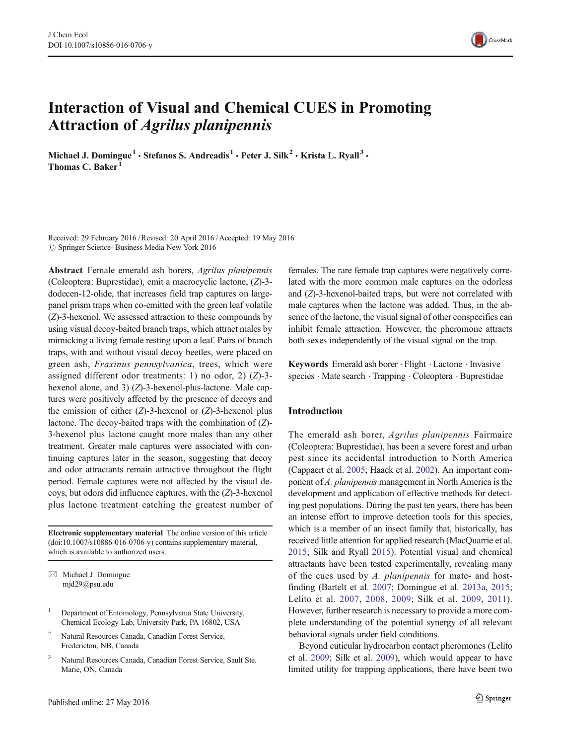# Interaction of Visual and Chemical CUES in Promoting Attraction of Agrilus planipennis

Michael J. Domingue<sup>1</sup> · Stefanos S. Andreadis<sup>1</sup> · Peter J. Silk<sup>2</sup> · Krista L. Ryall<sup>3</sup> · Thomas C. Baker<sup>1</sup>

Received: 29 February 2016 /Revised: 20 April 2016 /Accepted: 19 May 2016  $\circ$  Springer Science+Business Media New York 2016

Abstract Female emerald ash borers, Agrilus planipennis (Coleoptera: Buprestidae), emit a macrocyclic lactone, (Z)-3 dodecen-12-olide, that increases field trap captures on largepanel prism traps when co-emitted with the green leaf volatile (Z)-3-hexenol. We assessed attraction to these compounds by using visual decoy-baited branch traps, which attract males by mimicking a living female resting upon a leaf. Pairs of branch traps, with and without visual decoy beetles, were placed on green ash, Fraxinus pennsylvanica, trees, which were assigned different odor treatments: 1) no odor, 2) (Z)-3 hexenol alone, and 3) (Z)-3-hexenol-plus-lactone. Male captures were positively affected by the presence of decoys and the emission of either  $(Z)$ -3-hexenol or  $(Z)$ -3-hexenol plus lactone. The decoy-baited traps with the combination of (Z)- 3-hexenol plus lactone caught more males than any other treatment. Greater male captures were associated with continuing captures later in the season, suggesting that decoy and odor attractants remain attractive throughout the flight period. Female captures were not affected by the visual decoys, but odors did influence captures, with the (Z)-3-hexenol plus lactone treatment catching the greatest number of

Electronic supplementary material The online version of this article (doi[:10.1007/s10886-016-0706-y](http://dx.doi.org/10.1007/s10886-016-0706-y)) contains supplementary material, which is available to authorized users.

 $\boxtimes$  Michael J. Domingue mjd29@psu.edu

- <sup>1</sup> Department of Entomology, Pennsylvania State University, Chemical Ecology Lab, University Park, PA 16802, USA
- <sup>2</sup> Natural Resources Canada, Canadian Forest Service, Fredericton, NB, Canada
- <sup>3</sup> Natural Resources Canada, Canadian Forest Service, Sault Ste. Marie, ON, Canada

females. The rare female trap captures were negatively correlated with the more common male captures on the odorless and (Z)-3-hexenol-baited traps, but were not correlated with male captures when the lactone was added. Thus, in the absence of the lactone, the visual signal of other conspecifics can inhibit female attraction. However, the pheromone attracts both sexes independently of the visual signal on the trap.

Keywords Emerald ash borer . Flight . Lactone . Invasive species . Mate search . Trapping . Coleoptera . Buprestidae

### Introduction

The emerald ash borer, Agrilus planipennis Fairmaire (Coleoptera: Buprestidae), has been a severe forest and urban pest since its accidental introduction to North America (Cappaert et al. [2005;](#page-5-0) Haack et al. [2002](#page-6-0)). An important component of A. planipennis management in North America is the development and application of effective methods for detecting pest populations. During the past ten years, there has been an intense effort to improve detection tools for this species, which is a member of an insect family that, historically, has received little attention for applied research (MacQuarrie et al. [2015](#page-6-0); Silk and Ryall [2015](#page-6-0)). Potential visual and chemical attractants have been tested experimentally, revealing many of the cues used by A. planipennis for mate- and hostfinding (Bartelt et al. [2007;](#page-5-0) Domingue et al. [2013a,](#page-5-0) [2015;](#page-5-0) Lelito et al. [2007,](#page-6-0) [2008](#page-6-0), [2009;](#page-6-0) Silk et al. [2009](#page-6-0), [2011](#page-6-0)). However, further research is necessary to provide a more complete understanding of the potential synergy of all relevant behavioral signals under field conditions.

Beyond cuticular hydrocarbon contact pheromones (Lelito et al. [2009;](#page-6-0) Silk et al. [2009](#page-6-0)), which would appear to have limited utility for trapping applications, there have been two

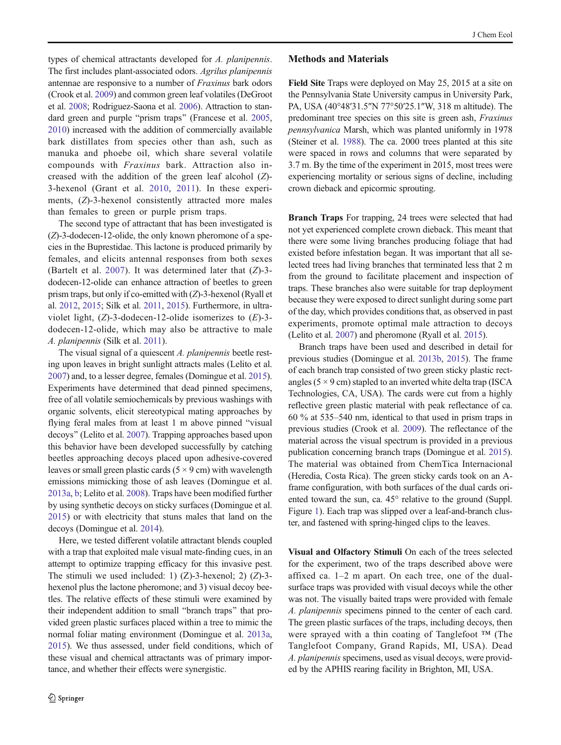types of chemical attractants developed for A. planipennis. The first includes plant-associated odors. Agrilus planipennis antennae are responsive to a number of Fraxinus bark odors (Crook et al. [2009](#page-5-0)) and common green leaf volatiles (DeGroot et al. [2008;](#page-5-0) Rodriguez-Saona et al. [2006\)](#page-6-0). Attraction to stan-dard green and purple "prism traps" (Francese et al. [2005,](#page-6-0) [2010\)](#page-6-0) increased with the addition of commercially available bark distillates from species other than ash, such as manuka and phoebe oil, which share several volatile compounds with Fraxinus bark. Attraction also increased with the addition of the green leaf alcohol (Z)- 3-hexenol (Grant et al. [2010](#page-6-0), [2011\)](#page-6-0). In these experiments, (Z)-3-hexenol consistently attracted more males than females to green or purple prism traps.

The second type of attractant that has been investigated is (Z)-3-dodecen-12-olide, the only known pheromone of a species in the Buprestidae. This lactone is produced primarily by females, and elicits antennal responses from both sexes (Bartelt et al. [2007\)](#page-5-0). It was determined later that  $(Z)$ -3dodecen-12-olide can enhance attraction of beetles to green prism traps, but only if co-emitted with (Z)-3-hexenol (Ryall et al. [2012,](#page-6-0) [2015](#page-6-0); Silk et al. [2011,](#page-6-0) [2015\)](#page-6-0). Furthermore, in ultraviolet light,  $(Z)$ -3-dodecen-12-olide isomerizes to  $(E)$ -3dodecen-12-olide, which may also be attractive to male A. planipennis (Silk et al. [2011\)](#page-6-0).

The visual signal of a quiescent A. planipennis beetle resting upon leaves in bright sunlight attracts males (Lelito et al. [2007\)](#page-6-0) and, to a lesser degree, females (Domingue et al. [2015\)](#page-5-0). Experiments have determined that dead pinned specimens, free of all volatile semiochemicals by previous washings with organic solvents, elicit stereotypical mating approaches by flying feral males from at least 1 m above pinned "visual decoys" (Lelito et al. [2007\)](#page-6-0). Trapping approaches based upon this behavior have been developed successfully by catching beetles approaching decoys placed upon adhesive-covered leaves or small green plastic cards  $(5 \times 9 \text{ cm})$  with wavelength emissions mimicking those of ash leaves (Domingue et al. [2013a,](#page-5-0) [b](#page-5-0); Lelito et al. [2008\)](#page-6-0). Traps have been modified further by using synthetic decoys on sticky surfaces (Domingue et al. [2015\)](#page-5-0) or with electricity that stuns males that land on the decoys (Domingue et al. [2014\)](#page-5-0).

Here, we tested different volatile attractant blends coupled with a trap that exploited male visual mate-finding cues, in an attempt to optimize trapping efficacy for this invasive pest. The stimuli we used included: 1)  $(Z)$ -3-hexenol; 2)  $(Z)$ -3hexenol plus the lactone pheromone; and 3) visual decoy beetles. The relative effects of these stimuli were examined by their independent addition to small "branch traps" that provided green plastic surfaces placed within a tree to mimic the normal foliar mating environment (Domingue et al. [2013a,](#page-5-0) [2015\)](#page-5-0). We thus assessed, under field conditions, which of these visual and chemical attractants was of primary importance, and whether their effects were synergistic.

#### Methods and Materials

Field Site Traps were deployed on May 25, 2015 at a site on the Pennsylvania State University campus in University Park, PA, USA (40°48′31.5″N 77°50′25.1″W, 318 m altitude). The predominant tree species on this site is green ash, Fraxinus pennsylvanica Marsh, which was planted uniformly in 1978 (Steiner et al. [1988](#page-6-0)). The ca. 2000 trees planted at this site were spaced in rows and columns that were separated by 3.7 m. By the time of the experiment in 2015, most trees were experiencing mortality or serious signs of decline, including crown dieback and epicormic sprouting.

Branch Traps For trapping, 24 trees were selected that had not yet experienced complete crown dieback. This meant that there were some living branches producing foliage that had existed before infestation began. It was important that all selected trees had living branches that terminated less that 2 m from the ground to facilitate placement and inspection of traps. These branches also were suitable for trap deployment because they were exposed to direct sunlight during some part of the day, which provides conditions that, as observed in past experiments, promote optimal male attraction to decoys (Lelito et al. [2007\)](#page-6-0) and pheromone (Ryall et al. [2015](#page-6-0)).

Branch traps have been used and described in detail for previous studies (Domingue et al. [2013b,](#page-5-0) [2015](#page-5-0)). The frame of each branch trap consisted of two green sticky plastic rectangles ( $5 \times 9$  cm) stapled to an inverted white delta trap (ISCA Technologies, CA, USA). The cards were cut from a highly reflective green plastic material with peak reflectance of ca. 60 % at 535–540 nm, identical to that used in prism traps in previous studies (Crook et al. [2009](#page-5-0)). The reflectance of the material across the visual spectrum is provided in a previous publication concerning branch traps (Domingue et al. [2015\)](#page-5-0). The material was obtained from ChemTica Internacional (Heredia, Costa Rica). The green sticky cards took on an Aframe configuration, with both surfaces of the dual cards oriented toward the sun, ca. 45° relative to the ground (Suppl. Figure 1). Each trap was slipped over a leaf-and-branch cluster, and fastened with spring-hinged clips to the leaves.

Visual and Olfactory Stimuli On each of the trees selected for the experiment, two of the traps described above were affixed ca. 1–2 m apart. On each tree, one of the dualsurface traps was provided with visual decoys while the other was not. The visually baited traps were provided with female A. planipennis specimens pinned to the center of each card. The green plastic surfaces of the traps, including decoys, then were sprayed with a thin coating of Tanglefoot ™ (The Tanglefoot Company, Grand Rapids, MI, USA). Dead A. planipennis specimens, used as visual decoys, were provided by the APHIS rearing facility in Brighton, MI, USA.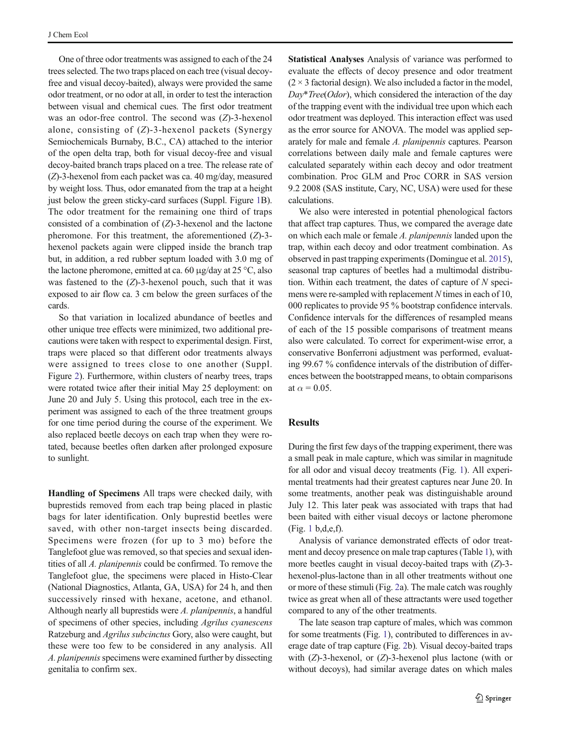One of three odor treatments was assigned to each of the 24 trees selected. The two traps placed on each tree (visual decoyfree and visual decoy-baited), always were provided the same odor treatment, or no odor at all, in order to test the interaction between visual and chemical cues. The first odor treatment was an odor-free control. The second was (Z)-3-hexenol alone, consisting of  $(Z)$ -3-hexenol packets (Synergy Semiochemicals Burnaby, B.C., CA) attached to the interior of the open delta trap, both for visual decoy-free and visual decoy-baited branch traps placed on a tree. The release rate of (Z)-3-hexenol from each packet was ca. 40 mg/day, measured by weight loss. Thus, odor emanated from the trap at a height just below the green sticky-card surfaces (Suppl. Figure 1B). The odor treatment for the remaining one third of traps consisted of a combination of  $(Z)$ -3-hexenol and the lactone pheromone. For this treatment, the aforementioned  $(Z)$ -3hexenol packets again were clipped inside the branch trap but, in addition, a red rubber septum loaded with 3.0 mg of the lactone pheromone, emitted at ca. 60  $\mu$ g/day at 25 °C, also was fastened to the  $(Z)$ -3-hexenol pouch, such that it was exposed to air flow ca. 3 cm below the green surfaces of the cards.

So that variation in localized abundance of beetles and other unique tree effects were minimized, two additional precautions were taken with respect to experimental design. First, traps were placed so that different odor treatments always were assigned to trees close to one another (Suppl. Figure 2). Furthermore, within clusters of nearby trees, traps were rotated twice after their initial May 25 deployment: on June 20 and July 5. Using this protocol, each tree in the experiment was assigned to each of the three treatment groups for one time period during the course of the experiment. We also replaced beetle decoys on each trap when they were rotated, because beetles often darken after prolonged exposure to sunlight.

Handling of Specimens All traps were checked daily, with buprestids removed from each trap being placed in plastic bags for later identification. Only buprestid beetles were saved, with other non-target insects being discarded. Specimens were frozen (for up to 3 mo) before the Tanglefoot glue was removed, so that species and sexual identities of all A. planipennis could be confirmed. To remove the Tanglefoot glue, the specimens were placed in Histo-Clear (National Diagnostics, Atlanta, GA, USA) for 24 h, and then successively rinsed with hexane, acetone, and ethanol. Although nearly all buprestids were A. planipennis, a handful of specimens of other species, including Agrilus cyanescens Ratzeburg and Agrilus subcinctus Gory, also were caught, but these were too few to be considered in any analysis. All A. planipennis specimens were examined further by dissecting genitalia to confirm sex.

Statistical Analyses Analysis of variance was performed to evaluate the effects of decoy presence and odor treatment  $(2 \times 3$  factorial design). We also included a factor in the model,  $Day*Tree(Odor)$ , which considered the interaction of the day of the trapping event with the individual tree upon which each odor treatment was deployed. This interaction effect was used as the error source for ANOVA. The model was applied separately for male and female A. planipennis captures. Pearson correlations between daily male and female captures were calculated separately within each decoy and odor treatment combination. Proc GLM and Proc CORR in SAS version 9.2 2008 (SAS institute, Cary, NC, USA) were used for these calculations.

We also were interested in potential phenological factors that affect trap captures. Thus, we compared the average date on which each male or female A. planipennis landed upon the trap, within each decoy and odor treatment combination. As observed in past trapping experiments (Domingue et al. [2015\)](#page-5-0), seasonal trap captures of beetles had a multimodal distribution. Within each treatment, the dates of capture of  $N$  specimens were re-sampled with replacement N times in each of 10, 000 replicates to provide 95 % bootstrap confidence intervals. Confidence intervals for the differences of resampled means of each of the 15 possible comparisons of treatment means also were calculated. To correct for experiment-wise error, a conservative Bonferroni adjustment was performed, evaluating 99.67 % confidence intervals of the distribution of differences between the bootstrapped means, to obtain comparisons at  $\alpha$  = 0.05.

## **Results**

During the first few days of the trapping experiment, there was a small peak in male capture, which was similar in magnitude for all odor and visual decoy treatments (Fig. [1\)](#page-3-0). All experimental treatments had their greatest captures near June 20. In some treatments, another peak was distinguishable around July 12. This later peak was associated with traps that had been baited with either visual decoys or lactone pheromone (Fig. [1](#page-3-0) b,d,e,f).

Analysis of variance demonstrated effects of odor treatment and decoy presence on male trap captures (Table [1](#page-3-0)), with more beetles caught in visual decoy-baited traps with (Z)-3 hexenol-plus-lactone than in all other treatments without one or more of these stimuli (Fig. [2](#page-4-0)a). The male catch was roughly twice as great when all of these attractants were used together compared to any of the other treatments.

The late season trap capture of males, which was common for some treatments (Fig. [1\)](#page-3-0), contributed to differences in average date of trap capture (Fig. [2b](#page-4-0)). Visual decoy-baited traps with  $(Z)$ -3-hexenol, or  $(Z)$ -3-hexenol plus lactone (with or without decoys), had similar average dates on which males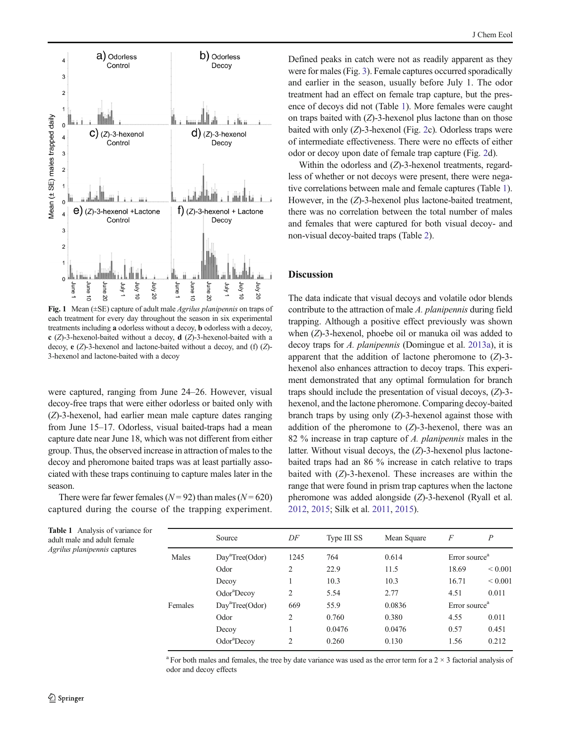<span id="page-3-0"></span>

Fig. 1 Mean (±SE) capture of adult male Agrilus planipennis on traps of each treatment for every day throughout the season in six experimental treatments including a odorless without a decoy, b odorless with a decoy, c (Z)-3-hexenol-baited without a decoy, d (Z)-3-hexenol-baited with a decoy,  $e(Z)$ -3-hexenol and lactone-baited without a decoy, and (f)  $(Z)$ -3-hexenol and lactone-baited with a decoy

were captured, ranging from June 24–26. However, visual decoy-free traps that were either odorless or baited only with (Z)-3-hexenol, had earlier mean male capture dates ranging from June 15–17. Odorless, visual baited-traps had a mean capture date near June 18, which was not different from either group. Thus, the observed increase in attraction of males to the decoy and pheromone baited traps was at least partially associated with these traps continuing to capture males later in the season.

There were far fewer females ( $N = 92$ ) than males ( $N = 620$ ) captured during the course of the trapping experiment.

Defined peaks in catch were not as readily apparent as they were for males (Fig. [3\)](#page-4-0). Female captures occurred sporadically and earlier in the season, usually before July 1. The odor treatment had an effect on female trap capture, but the presence of decoys did not (Table 1). More females were caught on traps baited with  $(Z)$ -3-hexenol plus lactone than on those baited with only  $(Z)$ -3-hexenol (Fig. [2c](#page-4-0)). Odorless traps were of intermediate effectiveness. There were no effects of either odor or decoy upon date of female trap capture (Fig. [2](#page-4-0)d).

Within the odorless and  $(Z)$ -3-hexenol treatments, regardless of whether or not decoys were present, there were negative correlations between male and female captures (Table 1). However, in the (Z)-3-hexenol plus lactone-baited treatment, there was no correlation between the total number of males and females that were captured for both visual decoy- and non-visual decoy-baited traps (Table [2\)](#page-4-0).

#### **Discussion**

The data indicate that visual decoys and volatile odor blends contribute to the attraction of male A. planipennis during field trapping. Although a positive effect previously was shown when (Z)-3-hexenol, phoebe oil or manuka oil was added to decoy traps for A. planipennis (Domingue et al. [2013a](#page-5-0)), it is apparent that the addition of lactone pheromone to  $(Z)$ -3hexenol also enhances attraction to decoy traps. This experiment demonstrated that any optimal formulation for branch traps should include the presentation of visual decoys, (Z)-3 hexenol, and the lactone pheromone. Comparing decoy-baited branch traps by using only  $(Z)$ -3-hexenol against those with addition of the pheromone to  $(Z)$ -3-hexenol, there was an 82 % increase in trap capture of A. planipennis males in the latter. Without visual decoys, the  $(Z)$ -3-hexenol plus lactonebaited traps had an 86 % increase in catch relative to traps baited with (Z)-3-hexenol. These increases are within the range that were found in prism trap captures when the lactone pheromone was added alongside (Z)-3-hexenol (Ryall et al. [2012,](#page-6-0) [2015](#page-6-0); Silk et al. [2011,](#page-6-0) [2015](#page-6-0)).

|         | Source                      | DF             | Type III SS | Mean Square | F                         | $\boldsymbol{P}$  |
|---------|-----------------------------|----------------|-------------|-------------|---------------------------|-------------------|
| Males   | Day <sup>a</sup> Tree(Odor) | 1245           | 764         | 0.614       | Error source <sup>a</sup> |                   |
|         | Odor                        | $\overline{c}$ | 22.9        | 11.5        | 18.69                     | ${}_{0.001}$      |
|         | Decoy                       |                | 10.3        | 10.3        | 16.71                     | ${}_{\leq 0.001}$ |
|         | Odor <sup>a</sup> Decoy     | 2              | 5.54        | 2.77        | 4.51                      | 0.011             |
| Females | Day <sup>a</sup> Tree(Odor) | 669            | 55.9        | 0.0836      | Error source <sup>a</sup> |                   |
|         | Odor                        | $\overline{c}$ | 0.760       | 0.380       | 4.55                      | 0.011             |
|         | Decoy                       |                | 0.0476      | 0.0476      | 0.57                      | 0.451             |
|         | Odor <sup>a</sup> Decoy     | $\overline{c}$ | 0.260       | 0.130       | 1.56                      | 0.212             |

<sup>a</sup> For both males and females, the tree by date variance was used as the error term for a  $2 \times 3$  factorial analysis of odor and decoy effects

Table 1 Analysis of variance for adult male and adult female Agrilus planipennis captures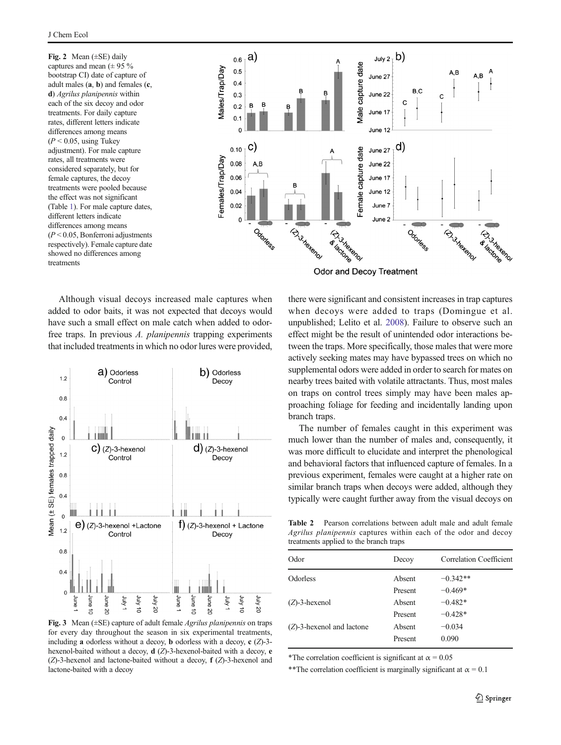<span id="page-4-0"></span>Fig. 2 Mean  $(\pm SE)$  daily captures and mean  $(\pm 95\%$ bootstrap CI) date of capture of adult males (a, b) and females (c, d) Agrilus planipennis within each of the six decoy and odor treatments. For daily capture rates, different letters indicate differences among means  $(P < 0.05$ , using Tukey adjustment). For male capture rates, all treatments were considered separately, but for female captures, the decoy treatments were pooled because the effect was not significant (Table [1](#page-3-0)). For male capture dates, different letters indicate differences among means  $(P < 0.05$ , Bonferroni adjustments respectively). Female capture date showed no differences among treatments



**Odor and Decoy Treatment** 

Although visual decoys increased male captures when added to odor baits, it was not expected that decoys would have such a small effect on male catch when added to odorfree traps. In previous A. planipennis trapping experiments that included treatments in which no odor lures were provided,



**Fig. 3** Mean ( $\pm$ SE) capture of adult female *Agrilus planipennis* on traps for every day throughout the season in six experimental treatments, including **a** odorless without a decoy, **b** odorless with a decoy, **c**  $(Z)$ -3hexenol-baited without a decoy, d (Z)-3-hexenol-baited with a decoy, e  $(Z)$ -3-hexenol and lactone-baited without a decoy,  $f(Z)$ -3-hexenol and lactone-baited with a decoy

there were significant and consistent increases in trap captures when decoys were added to traps (Domingue et al. unpublished; Lelito et al. [2008](#page-6-0)). Failure to observe such an effect might be the result of unintended odor interactions between the traps. More specifically, those males that were more actively seeking mates may have bypassed trees on which no supplemental odors were added in order to search for mates on nearby trees baited with volatile attractants. Thus, most males on traps on control trees simply may have been males approaching foliage for feeding and incidentally landing upon branch traps.

The number of females caught in this experiment was much lower than the number of males and, consequently, it was more difficult to elucidate and interpret the phenological and behavioral factors that influenced capture of females. In a previous experiment, females were caught at a higher rate on similar branch traps when decoys were added, although they typically were caught further away from the visual decoys on

Table 2 Pearson correlations between adult male and adult female Agrilus planipennis captures within each of the odor and decoy treatments applied to the branch traps

| Odor                         | Decoy   | Correlation Coefficient |
|------------------------------|---------|-------------------------|
| <b>Odorless</b>              | Absent  | $-0.342**$              |
|                              | Present | $-0.469*$               |
| $(Z)$ -3-hexenol             | Absent  | $-0.482*$               |
|                              | Present | $-0.428*$               |
| $(Z)$ -3-hexenol and lactone | Absent  | $-0.034$                |
|                              | Present | 0.090                   |
|                              |         |                         |

\*The correlation coefficient is significant at  $\alpha = 0.05$ 

\*\*The correlation coefficient is marginally significant at  $\alpha = 0.1$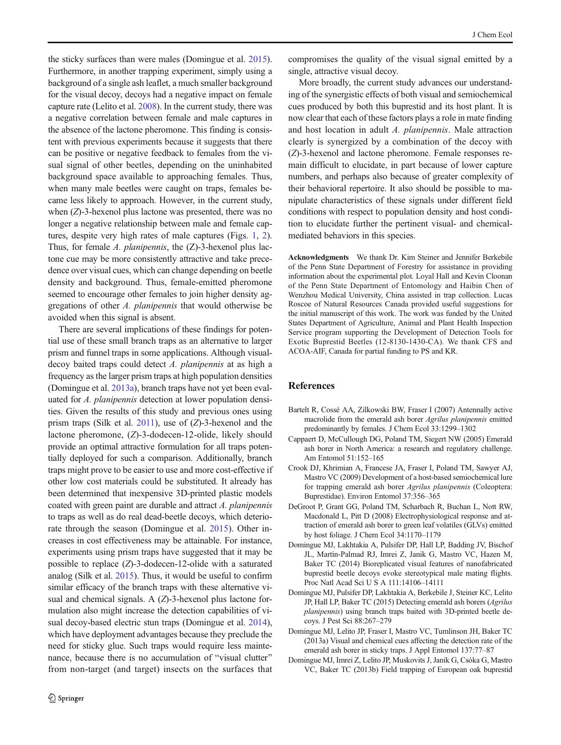<span id="page-5-0"></span>the sticky surfaces than were males (Domingue et al. 2015). Furthermore, in another trapping experiment, simply using a background of a single ash leaflet, a much smaller background for the visual decoy, decoys had a negative impact on female capture rate (Lelito et al. [2008](#page-6-0)). In the current study, there was a negative correlation between female and male captures in the absence of the lactone pheromone. This finding is consistent with previous experiments because it suggests that there can be positive or negative feedback to females from the visual signal of other beetles, depending on the uninhabited background space available to approaching females. Thus, when many male beetles were caught on traps, females became less likely to approach. However, in the current study, when (Z)-3-hexenol plus lactone was presented, there was no longer a negative relationship between male and female captures, despite very high rates of male captures (Figs. [1](#page-3-0), [2](#page-4-0)). Thus, for female A. *planipennis*, the (Z)-3-hexenol plus lactone cue may be more consistently attractive and take precedence over visual cues, which can change depending on beetle density and background. Thus, female-emitted pheromone seemed to encourage other females to join higher density aggregations of other A. planipennis that would otherwise be avoided when this signal is absent.

There are several implications of these findings for potential use of these small branch traps as an alternative to larger prism and funnel traps in some applications. Although visualdecoy baited traps could detect A. planipennis at as high a frequency as the larger prism traps at high population densities (Domingue et al. 2013a), branch traps have not yet been evaluated for A. planipennis detection at lower population densities. Given the results of this study and previous ones using prism traps (Silk et al. [2011](#page-6-0)), use of (Z)-3-hexenol and the lactone pheromone, (Z)-3-dodecen-12-olide, likely should provide an optimal attractive formulation for all traps potentially deployed for such a comparison. Additionally, branch traps might prove to be easier to use and more cost-effective if other low cost materials could be substituted. It already has been determined that inexpensive 3D-printed plastic models coated with green paint are durable and attract A. planipennis to traps as well as do real dead-beetle decoys, which deteriorate through the season (Domingue et al. 2015). Other increases in cost effectiveness may be attainable. For instance, experiments using prism traps have suggested that it may be possible to replace (Z)-3-dodecen-12-olide with a saturated analog (Silk et al. [2015](#page-6-0)). Thus, it would be useful to confirm similar efficacy of the branch traps with these alternative visual and chemical signals. A (Z)-3-hexenol plus lactone formulation also might increase the detection capabilities of visual decoy-based electric stun traps (Domingue et al. 2014), which have deployment advantages because they preclude the need for sticky glue. Such traps would require less maintenance, because there is no accumulation of "visual clutter" from non-target (and target) insects on the surfaces that

compromises the quality of the visual signal emitted by a single, attractive visual decoy.

More broadly, the current study advances our understanding of the synergistic effects of both visual and semiochemical cues produced by both this buprestid and its host plant. It is now clear that each of these factors plays a role in mate finding and host location in adult A. planipennis. Male attraction clearly is synergized by a combination of the decoy with (Z)-3-hexenol and lactone pheromone. Female responses remain difficult to elucidate, in part because of lower capture numbers, and perhaps also because of greater complexity of their behavioral repertoire. It also should be possible to manipulate characteristics of these signals under different field conditions with respect to population density and host condition to elucidate further the pertinent visual- and chemicalmediated behaviors in this species.

Acknowledgments We thank Dr. Kim Steiner and Jennifer Berkebile of the Penn State Department of Forestry for assistance in providing information about the experimental plot. Loyal Hall and Kevin Cloonan of the Penn State Department of Entomology and Haibin Chen of Wenzhou Medical University, China assisted in trap collection. Lucas Roscoe of Natural Resources Canada provided useful suggestions for the initial manuscript of this work. The work was funded by the United States Department of Agriculture, Animal and Plant Health Inspection Service program supporting the Development of Detection Tools for Exotic Buprestid Beetles (12-8130-1430-CA). We thank CFS and ACOA-AIF, Canada for partial funding to PS and KR.

## References

- Bartelt R, Cossé AA, Zilkowski BW, Fraser I (2007) Antennally active macrolide from the emerald ash borer Agrilus planipennis emitted predominantly by females. J Chem Ecol 33:1299–1302
- Cappaert D, McCullough DG, Poland TM, Siegert NW (2005) Emerald ash borer in North America: a research and regulatory challenge. Am Entomol 51:152–165
- Crook DJ, Khrimian A, Francese JA, Fraser I, Poland TM, Sawyer AJ, Mastro VC (2009) Development of a host-based semiochemical lure for trapping emerald ash borer Agrilus planipennis (Coleoptera: Buprestidae). Environ Entomol 37:356–365
- DeGroot P, Grant GG, Poland TM, Scharbach R, Buchan L, Nott RW, Macdonald L, Pitt D (2008) Electrophysiological response and attraction of emerald ash borer to green leaf volatiles (GLVs) emitted by host foliage. J Chem Ecol 34:1170–1179
- Domingue MJ, Lakhtakia A, Pulsifer DP, Hall LP, Badding JV, Bischof JL, Martín-Palmad RJ, Imrei Z, Janik G, Mastro VC, Hazen M, Baker TC (2014) Bioreplicated visual features of nanofabricated buprestid beetle decoys evoke stereotypical male mating flights. Proc Natl Acad Sci U S A 111:14106–14111
- Domingue MJ, Pulsifer DP, Lakhtakia A, Berkebile J, Steiner KC, Lelito JP, Hall LP, Baker TC (2015) Detecting emerald ash borers (Agrilus planipennis) using branch traps baited with 3D-printed beetle decoys. J Pest Sci 88:267–279
- Domingue MJ, Lelito JP, Fraser I, Mastro VC, Tumlinson JH, Baker TC (2013a) Visual and chemical cues affecting the detection rate of the emerald ash borer in sticky traps. J Appl Entomol 137:77–87
- Domingue MJ, Imrei Z, Lelito JP, Muskovits J, Janik G, Csóka G, Mastro VC, Baker TC (2013b) Field trapping of European oak buprestid